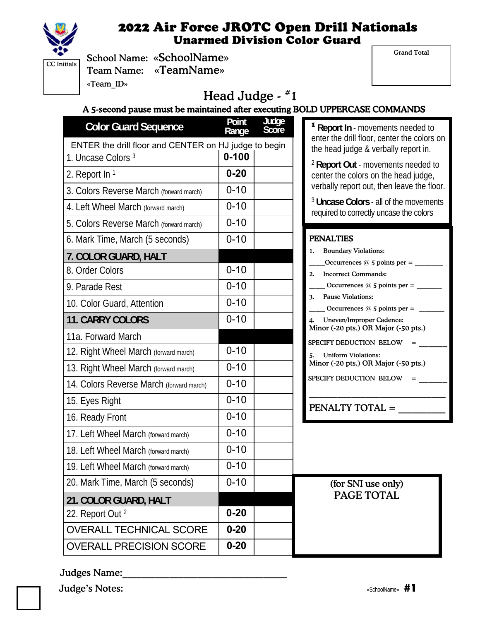

Grand Total

|                                     | Sch  |
|-------------------------------------|------|
| $\overline{\text{CC}}$ Initials $ $ |      |
|                                     | Tea  |
|                                     | «Tea |

rool Name: «SchoolName» am Name: «Team Name» am  $ID<sub>»</sub>$ 

# Head Judge - #1

A 5-second pause must be maintained after executing BOLD UPPERCASE COMMANDS

| <b>Color Guard Sequence</b>                           | Point<br>Range | Judge<br>Score |  |  |
|-------------------------------------------------------|----------------|----------------|--|--|
| ENTER the drill floor and CENTER on HJ judge to begin |                |                |  |  |
| 1. Uncase Colors <sup>3</sup>                         | $0 - 100$      |                |  |  |
| 2. Report In 1                                        | $0 - 20$       |                |  |  |
| 3. Colors Reverse March (forward march)               | $0 - 10$       |                |  |  |
| 4. Left Wheel March (forward march)                   | $0 - 10$       |                |  |  |
| 5. Colors Reverse March (forward march)               | $0 - 10$       |                |  |  |
| 6. Mark Time, March (5 seconds)                       | $0 - 10$       |                |  |  |
| 7. COLOR GUARD, HALT                                  |                |                |  |  |
| 8. Order Colors                                       | $0 - 10$       |                |  |  |
| 9. Parade Rest                                        | $0 - 10$       |                |  |  |
| 10. Color Guard, Attention                            | $0 - 10$       |                |  |  |
| <b>11. CARRY COLORS</b>                               | $0 - 10$       |                |  |  |
| 11a. Forward March                                    |                |                |  |  |
| 12. Right Wheel March (forward march)                 | $0 - 10$       |                |  |  |
| 13. Right Wheel March (forward march)                 | $0 - 10$       |                |  |  |
| 14. Colors Reverse March (forward march)              | $0 - 10$       |                |  |  |
| 15. Eyes Right                                        | $0 - 10$       |                |  |  |
| 16. Ready Front                                       | $0 - 10$       |                |  |  |
| 17. Left Wheel March (forward march)                  | $0 - 10$       |                |  |  |
| 18. Left Wheel March (forward march)                  | $0 - 10$       |                |  |  |
| 19. Left Wheel March (forward march)                  | $0 - 10$       |                |  |  |
| 20. Mark Time, March (5 seconds)                      | $0 - 10$       |                |  |  |
| 21. COLOR GUARD, HALT                                 |                |                |  |  |
| 22. Report Out 2                                      | $0 - 20$       |                |  |  |
| <b>OVERALL TECHNICAL SCORE</b>                        | $0 - 20$       |                |  |  |
| <b>OVERALL PRECISION SCORE</b>                        | $0 - 20$       |                |  |  |

<sup>1</sup>**Report In** - movements needed to enter the drill floor, center the colors on the head judge & verbally report in.

<sup>2</sup>**Report Out** - movements needed to center the colors on the head judge, verbally report out, then leave the floor.

<sup>3</sup>**Uncase Colors** - all of the movements required to correctly uncase the colors

#### PENALTIES

| CUUIUS)             | U- I U   | і шұлында                                                                     |
|---------------------|----------|-------------------------------------------------------------------------------|
| T                   |          | <b>Boundary Violations:</b><br>1.                                             |
|                     | $0 - 10$ |                                                                               |
|                     |          | <b>Incorrect Commands:</b><br>2.                                              |
|                     | $0 - 10$ | Occurrences $@$ 5 points per =<br><b>Pause Violations:</b><br>3.              |
| n                   | $0 - 10$ | Occurrences $@$ 5 points per =                                                |
|                     | $0 - 10$ | <b>Uneven/Improper Cadence:</b><br>4.<br>Minor (-20 pts.) OR Major (-50 pts.) |
|                     |          |                                                                               |
| rward march)        | $0 - 10$ | SPECIFY DEDUCTION BELOW<br><b>Uniform Violations:</b><br>5.                   |
| rward march)        | $0 - 10$ | Minor (-20 pts.) OR Major (-50 pts.)                                          |
| $n$ (forward march) | $0 - 10$ | SPECIFY DEDUCTION BELOW                                                       |
|                     | $0 - 10$ | <b>PENALTY TOTAL =</b>                                                        |
|                     | $0 - 10$ |                                                                               |
| ard march)          | $0 - 10$ |                                                                               |
| ard march)          | $0 - 10$ |                                                                               |
| ard march)          | $0 - 10$ |                                                                               |
| seconds)            | $0 - 10$ | (for SNI use only)                                                            |
| LT                  |          | PAGE TOTAL                                                                    |
|                     | $0 - 20$ |                                                                               |
| <b>AL SCORE</b>     | $0 - 20$ |                                                                               |
| IN SUUBE            | በ.ጋበ     |                                                                               |

#### Judges Name: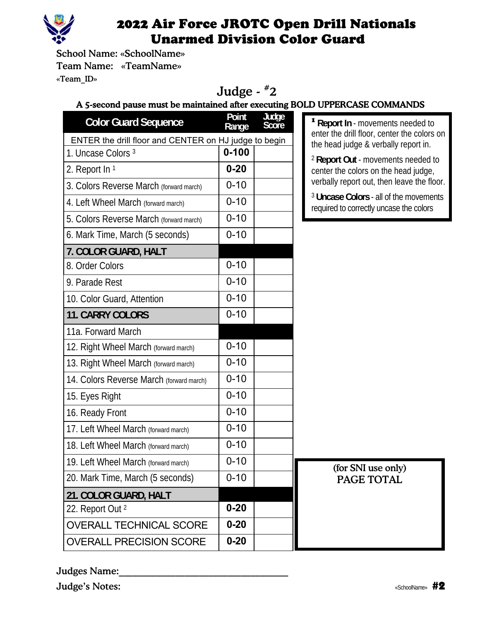

School Name: «SchoolName» Team Name: «TeamName» «Team\_ID»

# Judge - #2

### A 5-second pause must be maintained after executing BOLD UPPERCASE COMMANDS

| <b>Color Guard Sequence</b>                           | Point<br>Range | Judge<br>Score | <sup>1</sup> Report In - mo                      |
|-------------------------------------------------------|----------------|----------------|--------------------------------------------------|
| ENTER the drill floor and CENTER on HJ judge to begin |                |                | enter the drill floo<br>the head judge &         |
| 1. Uncase Colors 3                                    | $0 - 100$      |                | <sup>2</sup> Report Out - m                      |
| 2. Report In 1                                        | $0 - 20$       |                | center the colors                                |
| 3. Colors Reverse March (forward march)               | $0 - 10$       |                | verbally report or                               |
| 4. Left Wheel March (forward march)                   | $0 - 10$       |                | <sup>3</sup> Uncase Colors<br>required to correc |
| 5. Colors Reverse March (forward march)               | $0 - 10$       |                |                                                  |
| 6. Mark Time, March (5 seconds)                       | $0 - 10$       |                |                                                  |
| 7. COLOR GUARD, HALT                                  |                |                |                                                  |
| 8. Order Colors                                       | $0 - 10$       |                |                                                  |
| 9. Parade Rest                                        | $0 - 10$       |                |                                                  |
| 10. Color Guard, Attention                            | $0 - 10$       |                |                                                  |
| <b>11. CARRY COLORS</b>                               | $0 - 10$       |                |                                                  |
| 11a. Forward March                                    |                |                |                                                  |
| 12. Right Wheel March (forward march)                 | $0 - 10$       |                |                                                  |
| 13. Right Wheel March (forward march)                 | $0 - 10$       |                |                                                  |
| 14. Colors Reverse March (forward march)              | $0 - 10$       |                |                                                  |
| 15. Eyes Right                                        | $0 - 10$       |                |                                                  |
| 16. Ready Front                                       | $0 - 10$       |                |                                                  |
| 17. Left Wheel March (forward march)                  | $0 - 10$       |                |                                                  |
| 18. Left Wheel March (forward march)                  | $0 - 10$       |                |                                                  |
| 19. Left Wheel March (forward march)                  | $0 - 10$       |                | (for SNI                                         |
| 20. Mark Time, March (5 seconds)                      | $0 - 10$       |                | PAGE <sup>®</sup>                                |
| 21. COLOR GUARD, HALT                                 |                |                |                                                  |
| 22. Report Out 2                                      | $0 - 20$       |                |                                                  |
| <b>OVERALL TECHNICAL SCORE</b>                        | $0 - 20$       |                |                                                  |
| <b>OVERALL PRECISION SCORE</b>                        | $0 - 20$       |                |                                                  |
|                                                       |                |                |                                                  |

wements needed to or, center the colors on & verbally report in.

novements needed to on the head judge, ut, then leave the floor.

**s** - all of the movements tly uncase the colors

> use only) **TOTAL**

Judges Name: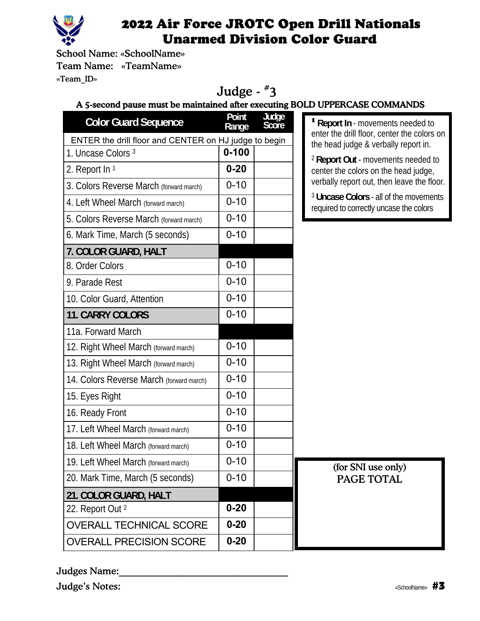

School Name: «SchoolName» Team Name: «TeamName» «Team\_ID»

# Judge - #3

### A 5-second pause must be maintained after executing BOLD UPPERCASE COMMANDS

| <b>Color Guard Sequence</b>                           | Point<br>Range | Judge<br>Score | $1$ Report In - m                              |
|-------------------------------------------------------|----------------|----------------|------------------------------------------------|
| ENTER the drill floor and CENTER on HJ judge to begin |                |                | enter the drill flo<br>the head judge          |
| 1. Uncase Colors 3                                    | $0 - 100$      |                | <sup>2</sup> Report Out -                      |
| 2. Report In 1                                        | $0 - 20$       |                | center the color                               |
| 3. Colors Reverse March (forward march)               | $0 - 10$       |                | verbally report                                |
| 4. Left Wheel March (forward march)                   | $0 - 10$       |                | <sup>3</sup> Uncase Color<br>required to corre |
| 5. Colors Reverse March (forward march)               | $0 - 10$       |                |                                                |
| 6. Mark Time, March (5 seconds)                       | $0 - 10$       |                |                                                |
| 7. COLOR GUARD, HALT                                  |                |                |                                                |
| 8. Order Colors                                       | $0 - 10$       |                |                                                |
| 9. Parade Rest                                        | $0 - 10$       |                |                                                |
| 10. Color Guard, Attention                            | $0 - 10$       |                |                                                |
| <b>11. CARRY COLORS</b>                               | $0 - 10$       |                |                                                |
| 11a. Forward March                                    |                |                |                                                |
| 12. Right Wheel March (forward march)                 | $0 - 10$       |                |                                                |
| 13. Right Wheel March (forward march)                 | $0 - 10$       |                |                                                |
| 14. Colors Reverse March (forward march)              | $0 - 10$       |                |                                                |
| 15. Eyes Right                                        | $0 - 10$       |                |                                                |
| 16. Ready Front                                       | $0 - 10$       |                |                                                |
| 17. Left Wheel March (forward march)                  | $0 - 10$       |                |                                                |
| 18. Left Wheel March (forward march)                  | $0 - 10$       |                |                                                |
| 19. Left Wheel March (forward march)                  | 0-10           |                | (for SN)                                       |
| 20. Mark Time, March (5 seconds)                      | $0 - 10$       |                | <b>PAGE</b>                                    |
| 21. COLOR GUARD, HALT                                 |                |                |                                                |
| 22. Report Out <sup>2</sup>                           | $0 - 20$       |                |                                                |
| <b>OVERALL TECHNICAL SCORE</b>                        | $0 - 20$       |                |                                                |
| <b>OVERALL PRECISION SCORE</b>                        | $0 - 20$       |                |                                                |
|                                                       |                |                |                                                |

**novements needed to** oor, center the colors on & verbally report in.

movements needed to s on the head judge, out, then leave the floor.

**Incase 2** all of the movements ctly uncase the colors

> I use only) **TOTAL**

#### Judges Name: